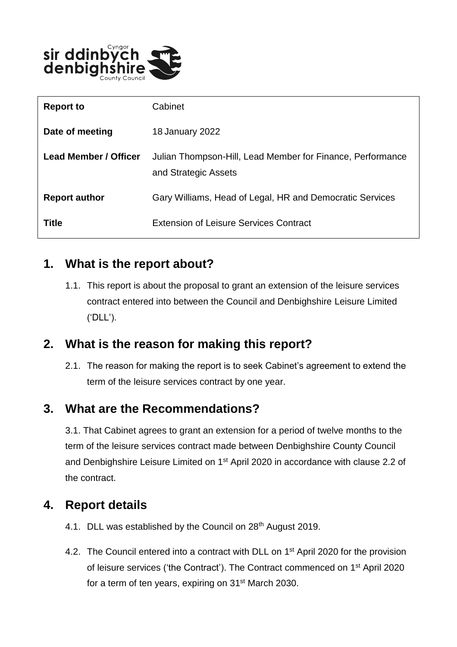

| <b>Report to</b>             | Cabinet                                                                            |
|------------------------------|------------------------------------------------------------------------------------|
| Date of meeting              | 18 January 2022                                                                    |
| <b>Lead Member / Officer</b> | Julian Thompson-Hill, Lead Member for Finance, Performance<br>and Strategic Assets |
| <b>Report author</b>         | Gary Williams, Head of Legal, HR and Democratic Services                           |
| Title                        | <b>Extension of Leisure Services Contract</b>                                      |

## **1. What is the report about?**

1.1. This report is about the proposal to grant an extension of the leisure services contract entered into between the Council and Denbighshire Leisure Limited ('DLL').

# **2. What is the reason for making this report?**

2.1. The reason for making the report is to seek Cabinet's agreement to extend the term of the leisure services contract by one year.

# **3. What are the Recommendations?**

3.1. That Cabinet agrees to grant an extension for a period of twelve months to the term of the leisure services contract made between Denbighshire County Council and Denbighshire Leisure Limited on 1<sup>st</sup> April 2020 in accordance with clause 2.2 of the contract.

#### **4. Report details**

- 4.1. DLL was established by the Council on 28<sup>th</sup> August 2019.
- 4.2. The Council entered into a contract with DLL on 1<sup>st</sup> April 2020 for the provision of leisure services ('the Contract'). The Contract commenced on 1st April 2020 for a term of ten years, expiring on 31st March 2030.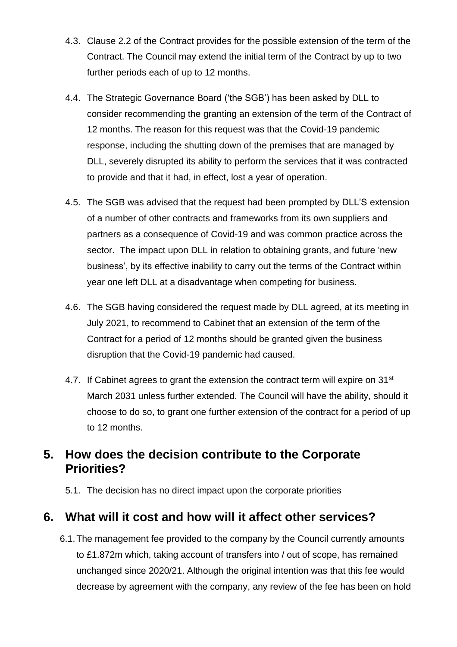- 4.3. Clause 2.2 of the Contract provides for the possible extension of the term of the Contract. The Council may extend the initial term of the Contract by up to two further periods each of up to 12 months.
- 4.4. The Strategic Governance Board ('the SGB') has been asked by DLL to consider recommending the granting an extension of the term of the Contract of 12 months. The reason for this request was that the Covid-19 pandemic response, including the shutting down of the premises that are managed by DLL, severely disrupted its ability to perform the services that it was contracted to provide and that it had, in effect, lost a year of operation.
- 4.5. The SGB was advised that the request had been prompted by DLL'S extension of a number of other contracts and frameworks from its own suppliers and partners as a consequence of Covid-19 and was common practice across the sector. The impact upon DLL in relation to obtaining grants, and future 'new business', by its effective inability to carry out the terms of the Contract within year one left DLL at a disadvantage when competing for business.
- 4.6. The SGB having considered the request made by DLL agreed, at its meeting in July 2021, to recommend to Cabinet that an extension of the term of the Contract for a period of 12 months should be granted given the business disruption that the Covid-19 pandemic had caused.
- 4.7. If Cabinet agrees to grant the extension the contract term will expire on 31<sup>st</sup> March 2031 unless further extended. The Council will have the ability, should it choose to do so, to grant one further extension of the contract for a period of up to 12 months.

## **5. How does the decision contribute to the Corporate Priorities?**

5.1. The decision has no direct impact upon the corporate priorities

#### **6. What will it cost and how will it affect other services?**

6.1.The management fee provided to the company by the Council currently amounts to £1.872m which, taking account of transfers into / out of scope, has remained unchanged since 2020/21. Although the original intention was that this fee would decrease by agreement with the company, any review of the fee has been on hold